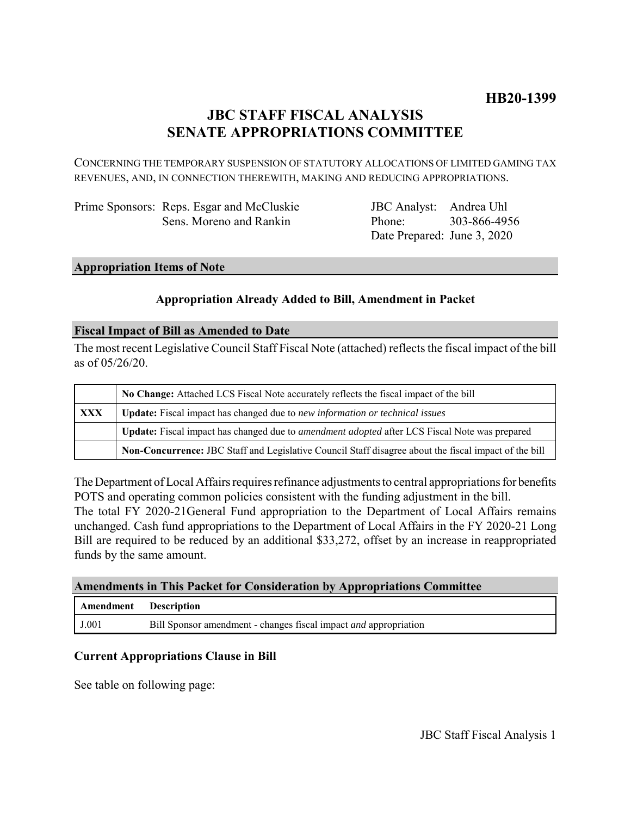# **JBC STAFF FISCAL ANALYSIS SENATE APPROPRIATIONS COMMITTEE**

CONCERNING THE TEMPORARY SUSPENSION OF STATUTORY ALLOCATIONS OF LIMITED GAMING TAX REVENUES, AND, IN CONNECTION THEREWITH, MAKING AND REDUCING APPROPRIATIONS.

| Prime Sponsors: Reps. Esgar and McCluskie |
|-------------------------------------------|
| Sens. Moreno and Rankin                   |

JBC Analyst: Andrea Uhl Phone: Date Prepared: June 3, 2020 303-866-4956

# **Appropriation Items of Note**

# **Appropriation Already Added to Bill, Amendment in Packet**

## **Fiscal Impact of Bill as Amended to Date**

The most recent Legislative Council Staff Fiscal Note (attached) reflects the fiscal impact of the bill as of 05/26/20.

|     | No Change: Attached LCS Fiscal Note accurately reflects the fiscal impact of the bill                       |
|-----|-------------------------------------------------------------------------------------------------------------|
| XXX | Update: Fiscal impact has changed due to new information or technical issues                                |
|     | <b>Update:</b> Fiscal impact has changed due to <i>amendment adopted</i> after LCS Fiscal Note was prepared |
|     | Non-Concurrence: JBC Staff and Legislative Council Staff disagree about the fiscal impact of the bill       |

The Department of Local Affairs requires refinance adjustments to central appropriations for benefits POTS and operating common policies consistent with the funding adjustment in the bill. The total FY 2020-21General Fund appropriation to the Department of Local Affairs remains

unchanged. Cash fund appropriations to the Department of Local Affairs in the FY 2020-21 Long Bill are required to be reduced by an additional \$33,272, offset by an increase in reappropriated funds by the same amount.

## **Amendments in This Packet for Consideration by Appropriations Committee**

| <b>Amendment</b> Description |                                                                         |
|------------------------------|-------------------------------------------------------------------------|
| J.001                        | Bill Sponsor amendment - changes fiscal impact <i>and</i> appropriation |

# **Current Appropriations Clause in Bill**

See table on following page: